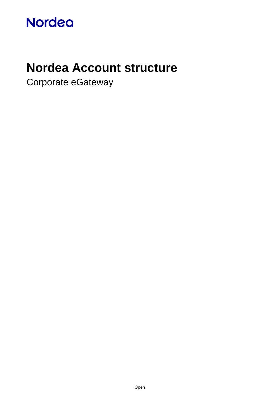

### **Nordea Account structure**

Corporate eGateway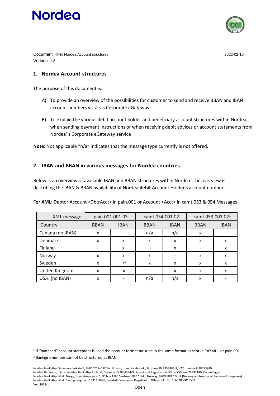



Document Title: Nordea Account structures 2022-02-10 Version: 1.8

#### **1. Nordea Account structures**

The purpose of this document is:

- A) To provide an overview of the possibilities for customer to send and receive BBAN and IBAN account numbers vis-à-vis Corporate eGateway
- B) To explain the various debit account holder and beneficiary account structures within Nordea, when sending payment instructions or when receiving debit advices or account statements from Nordea' s Corporate eGateway service

**Note**: Not applicable "n/a" indicates that the message type currently is not offered.

#### **2. IBAN and BBAN in various messages for Nordea countries**

Below is an overview of available IBAN and BBAN structures within Nordea. The overview is describing the IBAN & BBAN availability of Nordea **debit** Account Holder's account number.

For XML: Debtor Account <DbtrAcct> in pain.001 or Account <Acct> in camt.053 & 054 Messages

| XML message:     | pain.001.001.03 |             | camt.054.001.02 |             | camt.053.001.02 <sup>1</sup> |             |
|------------------|-----------------|-------------|-----------------|-------------|------------------------------|-------------|
| Country          | <b>BBAN</b>     | <b>IBAN</b> | <b>BBAN</b>     | <b>IBAN</b> | <b>BBAN</b>                  | <b>IBAN</b> |
| Canada (no IBAN) | X               |             | n/a             | n/a         | X                            |             |
| Denmark          | x               | x           | X               | X           | x                            | X           |
| Finland          |                 | x           |                 | x           |                              | x           |
| Norway           | X               | X           | X               |             | x                            | X           |
| Sweden           | X               | $x^2$       | x               | x           | x                            | X           |
| United Kingdom   | X               | x           |                 | X           | x                            | X           |
| USA. (no IBAN)   | X               |             | n/a             | n/a         | x                            |             |

**<sup>1</sup>** If "matched" account statement is used the account format must be in the same format as sent in PAYMUL or pain.001

**<sup>2</sup>** Bankgiro number cannot be structured as IBAN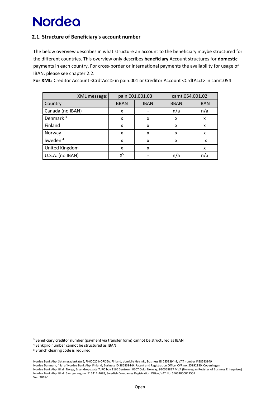### **2.1. Structure of Beneficiary's account number**

The below overview describes in what structure an account to the beneficiary maybe structured for the different countries. This overview only describes **beneficiary** Account structures for **domestic**  payments in each country. For cross-border or international payments the availability for usage of IBAN, please see chapter 2.2.

For XML: Creditor Account <CrdtAcct> in pain.001 or Creditor Account <CrdtAcct> in camt.054

| XML message:         |             | pain.001.001.03 | camt.054.001.02 |             |
|----------------------|-------------|-----------------|-----------------|-------------|
| Country              | <b>BBAN</b> | <b>IBAN</b>     | <b>BBAN</b>     | <b>IBAN</b> |
| Canada (no IBAN)     | x           |                 | n/a             | n/a         |
| Denmark <sup>3</sup> | X           | x               | x               | X           |
| Finland              | X           | x               | x               | X           |
| Norway               | x           | x               | x               | X           |
| Sweden <sup>4</sup>  | x           | x               | x               | x           |
| United Kingdom       | x           | x               |                 | X           |
| U.S.A. (no IBAN)     | $x^5$       |                 | n/a             | n/a         |

<sup>&</sup>lt;sup>3</sup> Beneficiary creditor number (payment via transfer form) cannot be structured as IBAN

<sup>4</sup>Bankgiro number cannot be structured as IBAN

<sup>5</sup> Branch clearing code is required

Nordea Bank Abp, Satamaradankatu 5, FI-00020 NORDEA, Finland, domicile Helsinki, Business ID 2858394-9, VAT number FI28583949 Nordea Danmark, filial af Nordea Bank Abp, Finland, Business ID 2858394-9, Patent and Registration Office, CVR no. 25992180, Copenhagen Nordea Bank Abp, filial i Norge, Essendrops gate 7, PO box 1166 Sentrum, 0107 Oslo, Norway, 920058817 MVA (Norwegian Register of Business Enterprises) Nordea Bank Abp, filial i Sverige, reg.no. 516411-1683, Swedish Companies Registration Office, VAT No. SE663000019501 Ver. 2018-1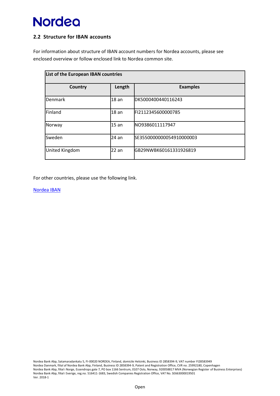#### **2.2 Structure for IBAN accounts**

For information about structure of IBAN account numbers for Nordea accounts, please see enclosed overview or follow enclosed link to Nordea common site.

| List of the European IBAN countries |         |                          |  |
|-------------------------------------|---------|--------------------------|--|
| Country                             | Length  | <b>Examples</b>          |  |
| <b>Denmark</b>                      | 18an    | DK5000400440116243       |  |
| Finland                             | 18 an   | FI2112345600000785       |  |
| Norway                              | 15 an   | NO9386011117947          |  |
| Sweden                              | 24 an   | SE3550000000054910000003 |  |
| <b>United Kingdom</b>               | $22$ an | GB29NWBK60161331926819   |  |

For other countries, please use the following link.

[Nordea IBAN](https://www.nordea.com/en/our-services/cash-management/iban)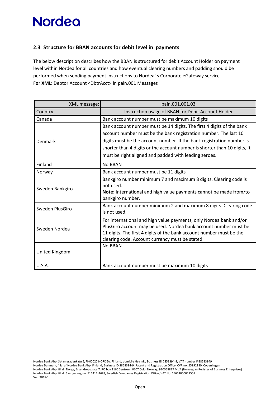#### **2.3 Structure for BBAN accounts for debit level in payments**

The below description describes how the BBAN is structured for debit Account Holder on payment level within Nordea for all countries and how eventual clearing numbers and padding should be performed when sending payment instructions to Nordea' s Corporate eGateway service. For XML: Debtor Account <DbtrAcct> in pain.001 Messages

| XML message:    | pain.001.001.03                                                                                                                                                                                                                                                  |
|-----------------|------------------------------------------------------------------------------------------------------------------------------------------------------------------------------------------------------------------------------------------------------------------|
| Country         | Instruction usage of BBAN for Debit Account Holder                                                                                                                                                                                                               |
| Canada          | Bank account number must be maximum 10 digits                                                                                                                                                                                                                    |
|                 | Bank account number must be 14 digits. The first 4 digits of the bank<br>account number must be the bank registration number. The last 10                                                                                                                        |
| Denmark         | digits must be the account number. If the bank registration number is                                                                                                                                                                                            |
|                 | shorter than 4 digits or the account number is shorter than 10 digits, it                                                                                                                                                                                        |
|                 | must be right aligned and padded with leading zeroes.                                                                                                                                                                                                            |
| Finland         | No BBAN                                                                                                                                                                                                                                                          |
| Norway          | Bank account number must be 11 digits                                                                                                                                                                                                                            |
| Sweden Bankgiro | Bankgiro number minimum 7 and maximum 8 digits. Clearing code is<br>not used.<br>Note: International and high value payments cannot be made from/to                                                                                                              |
|                 | bankgiro number.                                                                                                                                                                                                                                                 |
| Sweden PlusGiro | Bank account number minimum 2 and maximum 8 digits. Clearing code<br>is not used.                                                                                                                                                                                |
| Sweden Nordea   | For international and high value payments, only Nordea bank and/or<br>PlusGiro account may be used. Nordea bank account number must be<br>11 digits. The first 4 digits of the bank account number must be the<br>clearing code. Account currency must be stated |
| United Kingdom  | No BBAN                                                                                                                                                                                                                                                          |
| <b>U.S.A.</b>   | Bank account number must be maximum 10 digits                                                                                                                                                                                                                    |